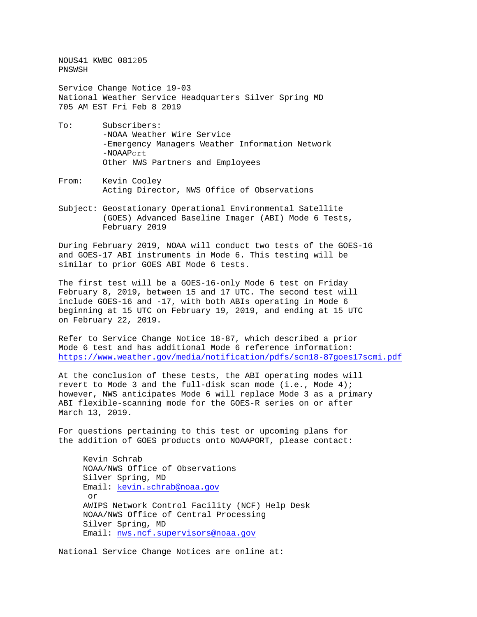NOUS41 KWBC 081205 PNSWSH

Service Change Notice 19-03 National Weather Service Headquarters Silver Spring MD 705 AM EST Fri Feb 8 2019

- To: Subscribers: -NOAA Weather Wire Service -Emergency Managers Weather Information Network -NOAAPort Other NWS Partners and Employees
- From: Kevin Cooley Acting Director, NWS Office of Observations
- Subject: Geostationary Operational Environmental Satellite (GOES) Advanced Baseline Imager (ABI) Mode 6 Tests, February 2019

During February 2019, NOAA will conduct two tests of the GOES-16 and GOES-17 ABI instruments in Mode 6. This testing will be similar to prior GOES ABI Mode 6 tests.

The first test will be a GOES-16-only Mode 6 test on Friday February 8, 2019, between 15 and 17 UTC. The second test will include GOES-16 and -17, with both ABIs operating in Mode 6 beginning at 15 UTC on February 19, 2019, and ending at 15 UTC on February 22, 2019.

Refer to Service Change Notice 18-87, which described a prior Mode 6 test and has additional Mode 6 reference information: <https://www.weather.gov/media/notification/pdfs/scn18-87goes17scmi.pdf>

At the conclusion of these tests, the ABI operating modes will revert to Mode 3 and the full-disk scan mode (i.e., Mode 4); however, NWS anticipates Mode 6 will replace Mode 3 as a primary ABI flexible-scanning mode for the GOES-R series on or after March 13, 2019.

For questions pertaining to this test or upcoming plans for the addition of GOES products onto NOAAPORT, please contact:

Kevin Schrab NOAA/NWS Office of Observations Silver Spring, MD Email: kevin.s[chrab@noaa.gov](mailto:Kevin.Schrab@noaa.gov) or AWIPS Network Control Facility (NCF) Help Desk NOAA/NWS Office of Central Processing Silver Spring, MD Email[: nws.ncf.supervisors@noaa.gov](mailto:nws.ncf.supervisors@noaa.gov)

National Service Change Notices are online at: